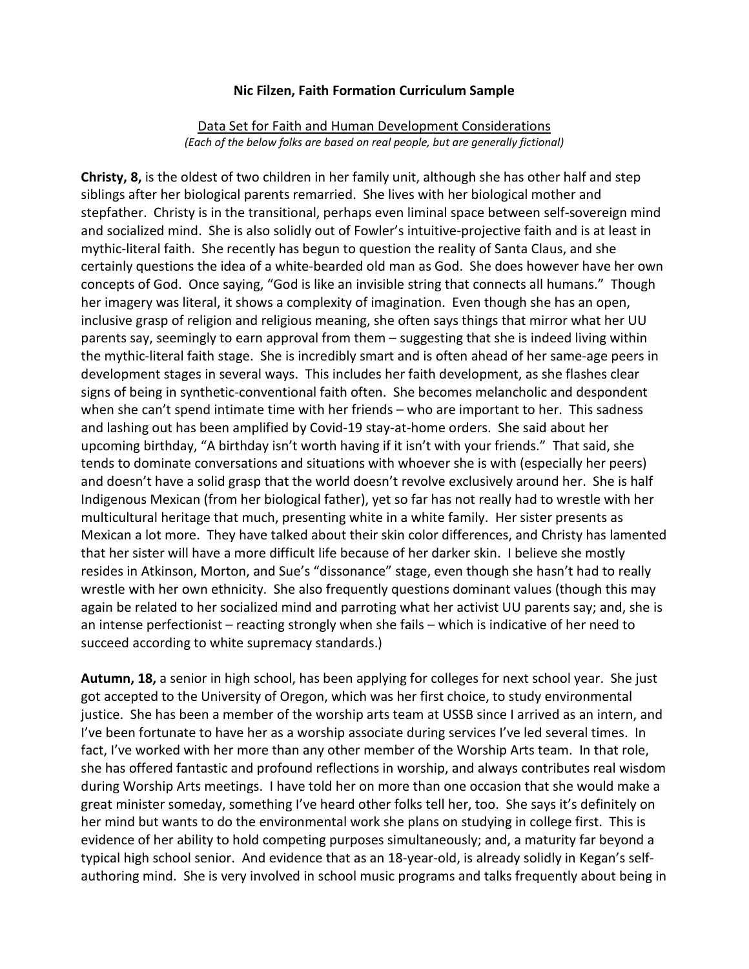#### **Nic Filzen, Faith Formation Curriculum Sample**

#### Data Set for Faith and Human Development Considerations *(Each of the below folks are based on real people, but are generally fictional)*

**Christy, 8,** is the oldest of two children in her family unit, although she has other half and step siblings after her biological parents remarried. She lives with her biological mother and stepfather. Christy is in the transitional, perhaps even liminal space between self-sovereign mind and socialized mind. She is also solidly out of Fowler's intuitive-projective faith and is at least in mythic-literal faith. She recently has begun to question the reality of Santa Claus, and she certainly questions the idea of a white-bearded old man as God. She does however have her own concepts of God. Once saying, "God is like an invisible string that connects all humans." Though her imagery was literal, it shows a complexity of imagination. Even though she has an open, inclusive grasp of religion and religious meaning, she often says things that mirror what her UU parents say, seemingly to earn approval from them – suggesting that she is indeed living within the mythic-literal faith stage. She is incredibly smart and is often ahead of her same-age peers in development stages in several ways. This includes her faith development, as she flashes clear signs of being in synthetic-conventional faith often. She becomes melancholic and despondent when she can't spend intimate time with her friends – who are important to her. This sadness and lashing out has been amplified by Covid-19 stay-at-home orders. She said about her upcoming birthday, "A birthday isn't worth having if it isn't with your friends." That said, she tends to dominate conversations and situations with whoever she is with (especially her peers) and doesn't have a solid grasp that the world doesn't revolve exclusively around her. She is half Indigenous Mexican (from her biological father), yet so far has not really had to wrestle with her multicultural heritage that much, presenting white in a white family. Her sister presents as Mexican a lot more. They have talked about their skin color differences, and Christy has lamented that her sister will have a more difficult life because of her darker skin. I believe she mostly resides in Atkinson, Morton, and Sue's "dissonance" stage, even though she hasn't had to really wrestle with her own ethnicity. She also frequently questions dominant values (though this may again be related to her socialized mind and parroting what her activist UU parents say; and, she is an intense perfectionist – reacting strongly when she fails – which is indicative of her need to succeed according to white supremacy standards.)

**Autumn, 18,** a senior in high school, has been applying for colleges for next school year. She just got accepted to the University of Oregon, which was her first choice, to study environmental justice. She has been a member of the worship arts team at USSB since I arrived as an intern, and I've been fortunate to have her as a worship associate during services I've led several times. In fact, I've worked with her more than any other member of the Worship Arts team. In that role, she has offered fantastic and profound reflections in worship, and always contributes real wisdom during Worship Arts meetings. I have told her on more than one occasion that she would make a great minister someday, something I've heard other folks tell her, too. She says it's definitely on her mind but wants to do the environmental work she plans on studying in college first. This is evidence of her ability to hold competing purposes simultaneously; and, a maturity far beyond a typical high school senior. And evidence that as an 18-year-old, is already solidly in Kegan's selfauthoring mind. She is very involved in school music programs and talks frequently about being in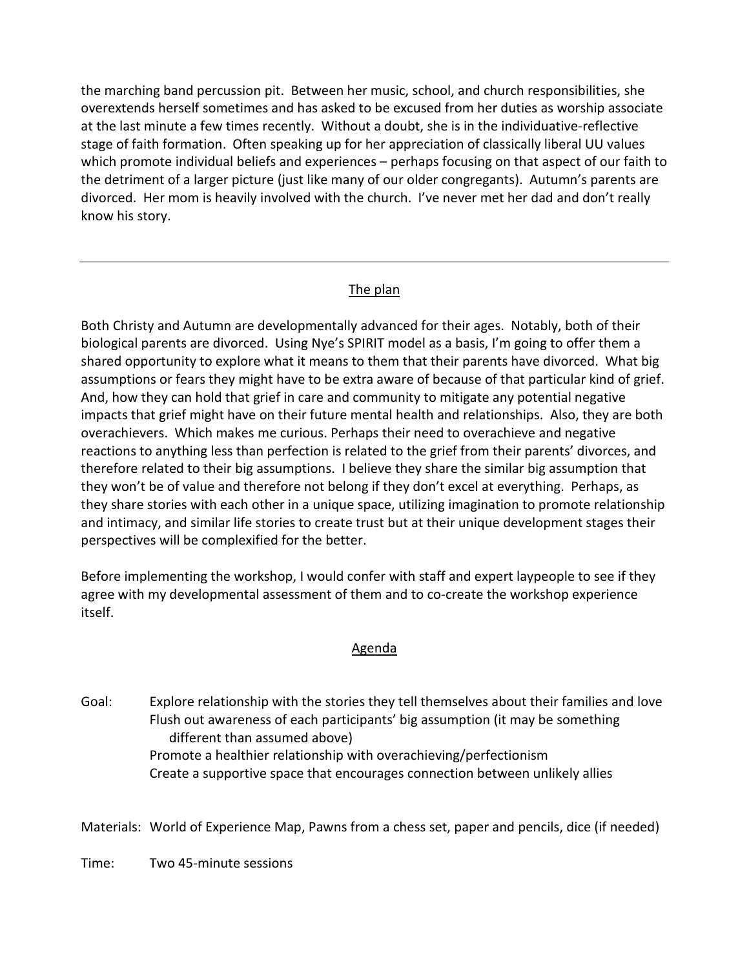the marching band percussion pit. Between her music, school, and church responsibilities, she overextends herself sometimes and has asked to be excused from her duties as worship associate at the last minute a few times recently. Without a doubt, she is in the individuative-reflective stage of faith formation. Often speaking up for her appreciation of classically liberal UU values which promote individual beliefs and experiences – perhaps focusing on that aspect of our faith to the detriment of a larger picture (just like many of our older congregants). Autumn's parents are divorced. Her mom is heavily involved with the church. I've never met her dad and don't really know his story.

# The plan

Both Christy and Autumn are developmentally advanced for their ages. Notably, both of their biological parents are divorced. Using Nye's SPIRIT model as a basis, I'm going to offer them a shared opportunity to explore what it means to them that their parents have divorced. What big assumptions or fears they might have to be extra aware of because of that particular kind of grief. And, how they can hold that grief in care and community to mitigate any potential negative impacts that grief might have on their future mental health and relationships. Also, they are both overachievers. Which makes me curious. Perhaps their need to overachieve and negative reactions to anything less than perfection is related to the grief from their parents' divorces, and therefore related to their big assumptions. I believe they share the similar big assumption that they won't be of value and therefore not belong if they don't excel at everything. Perhaps, as they share stories with each other in a unique space, utilizing imagination to promote relationship and intimacy, and similar life stories to create trust but at their unique development stages their perspectives will be complexified for the better.

Before implementing the workshop, I would confer with staff and expert laypeople to see if they agree with my developmental assessment of them and to co-create the workshop experience itself.

#### Agenda

Goal: Explore relationship with the stories they tell themselves about their families and love Flush out awareness of each participants' big assumption (it may be something different than assumed above) Promote a healthier relationship with overachieving/perfectionism Create a supportive space that encourages connection between unlikely allies

Materials: World of Experience Map, Pawns from a chess set, paper and pencils, dice (if needed)

Time: Two 45-minute sessions